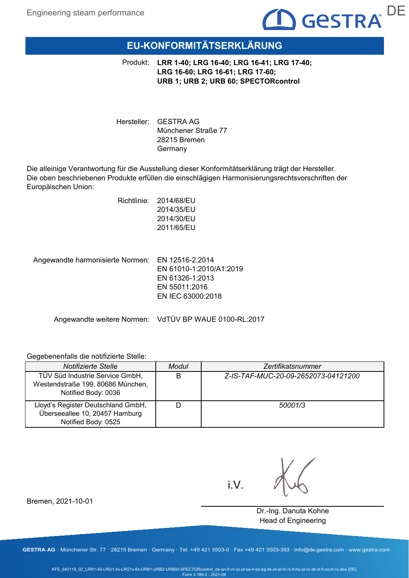# $\blacksquare$  Gestra $\blacksquare$

# **EU-KONFORMITÄTSERKLÄRUNG**

Produkt: **LRR 1-40; LRG 16-40; LRG 16-41; LRG 17-40; LRG 16-60; LRG 16-61; LRG 17-60; URB 1; URB 2; URB 60; SPECTORcontrol**

Hersteller: GESTRA AG Münchener Straße 77 28215 Bremen Germany

Die alleinige Verantwortung für die Ausstellung dieser Konformitätserklärung trägt der Hersteller. Die oben beschriebenen Produkte erfüllen die einschlägigen Harmonisierungsrechtsvorschriften der Europäischen Union:

> Richtlinie: 2014/68/EU 2014/35/EU 2014/30/EU 2011/65/EU

Angewandte harmonisierte Normen: EN 12516-2:2014 EN 61010-1:2010/A1:2019 EN 61326-1:2013 EN 55011:2016 EN IEC 63000:2018

Angewandte weitere Normen: VdTÜV BP WAUE 0100-RL:2017

## Gegebenenfalls die notifizierte Stelle:

| Notifizierte Stelle                                                                         | Modul | Zertifikatsnummer                   |
|---------------------------------------------------------------------------------------------|-------|-------------------------------------|
| TÜV Süd Industrie Service GmbH,<br>Westendstraße 199, 80686 München,<br>Notified Body: 0036 | B     | Z-IS-TAF-MUC-20-09-2652073-04121200 |
| Lloyd's Register Deutschland GmbH,<br>Überseeallee 10, 20457 Hamburg<br>Notified Body: 0525 |       | 50001/3                             |

i.V.

Dr.-Ing. Danuta Kohne Head of Engineering

Bremen, 2021-10-01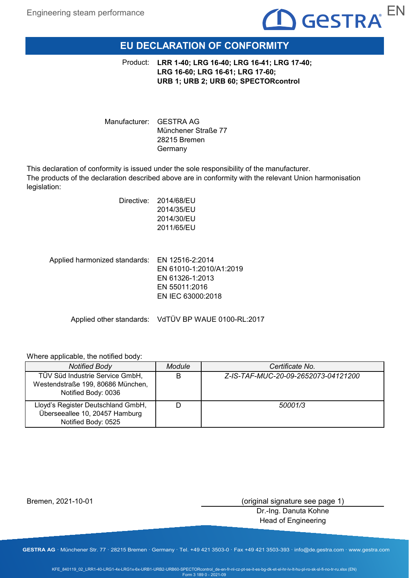

# **EU DECLARATION OF CONFORMITY**

**LRR 1-40; LRG 16-40; LRG 16-41; LRG 17-40;**  Product: **LRG 16-60; LRG 16-61; LRG 17-60; URB 1; URB 2; URB 60; SPECTORcontrol**

Manufacturer: GESTRA AG Münchener Straße 77 28215 Bremen Germany

This declaration of conformity is issued under the sole responsibility of the manufacturer. The products of the declaration described above are in conformity with the relevant Union harmonisation legislation:

| Directive:<br>2014/68/EU |
|--------------------------|
| 2014/35/EU               |
| 2014/30/EU               |
| 2011/65/EU               |
|                          |
|                          |
|                          |

Applied harmonized standards: EN 12516-2:2014 EN 61010-1:2010/A1:2019 EN 61326-1:2013 EN 55011:2016 EN IEC 63000:2018

Applied other standards: VdTÜV BP WAUE 0100-RL:2017

## Where applicable, the notified body:

| <b>Notified Body</b>                                                                        | Module | Certificate No.                     |
|---------------------------------------------------------------------------------------------|--------|-------------------------------------|
| TÜV Süd Industrie Service GmbH,<br>Westendstraße 199, 80686 München,<br>Notified Body: 0036 |        | Z-IS-TAF-MUC-20-09-2652073-04121200 |
| Lloyd's Register Deutschland GmbH,<br>Überseeallee 10, 20457 Hamburg<br>Notified Body: 0525 |        | 50001/3                             |

Bremen, 2021-10-01

(original signature see page 1)

Dr.-Ing. Danuta Kohne Head of Engineering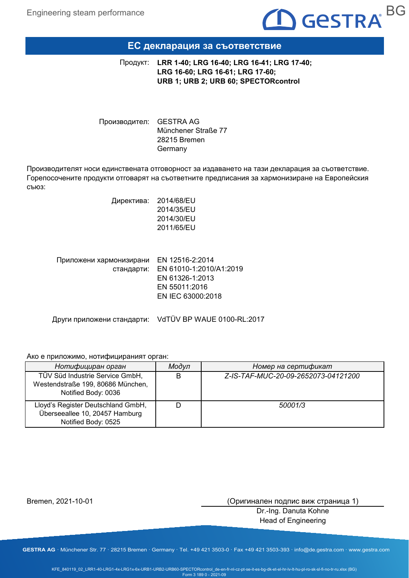

## **ЕС декларация за съответствие**

**LRR 1-40; LRG 16-40; LRG 16-41; LRG 17-40;**  Продукт: **LRG 16-60; LRG 16-61; LRG 17-60; URB 1; URB 2; URB 60; SPECTORcontrol**

Производител: GESTRA AG Münchener Straße 77 28215 Bremen Germany

Производителят носи единствената отговорност за издаването на тази декларация за съответствие. Горепосочените продукти отговарят на съответните предписания за хармонизиране на Европейския съюз:

> Директива: 2014/68/EU 2014/35/EU 2014/30/EU 2011/65/EU

| Приложени хармонизирани EN 12516-2:2014 |                                    |
|-----------------------------------------|------------------------------------|
|                                         | стандарти: EN 61010-1:2010/A1:2019 |
|                                         | EN 61326-1:2013                    |
|                                         | EN 55011:2016                      |
|                                         | EN IEC 63000:2018                  |
|                                         |                                    |

Други приложени стандарти: VdTÜV BP WAUE 0100-RL:2017

## Ако е приложимо, нотифицираният орган:

| Нотифициран орган                                                                           | Модул | Номер на сертификат                 |
|---------------------------------------------------------------------------------------------|-------|-------------------------------------|
| TÜV Süd Industrie Service GmbH,<br>Westendstraße 199, 80686 München,<br>Notified Body: 0036 | B     | Z-IS-TAF-MUC-20-09-2652073-04121200 |
| Lloyd's Register Deutschland GmbH,<br>Überseeallee 10, 20457 Hamburg<br>Notified Body: 0525 |       | 50001/3                             |

Bremen, 2021-10-01

(Оригинален подпис виж страница 1)

Dr.-Ing. Danuta Kohne Head of Engineering

**GESTRA AG** · Münchener Str. 77 · 28215 Bremen · Germany · Tel. +49 421 3503-0 · Fax +49 421 3503-393 · info@de.gestra.com · www.gestra.com

KFE\_840119\_02\_LRR1-40-LRG1-4x-LRG1x-6x-URB1-URB2-URB60-SPECTORcontrol\_de-en-fr-nl-cz-pt-se-it-es-bg-dk-et-el-hr-lv-lt-hu-pl-ro-sk-sl-fi-no-tr-ru.xlsx (BG) Form 3 189 0 - 2021-09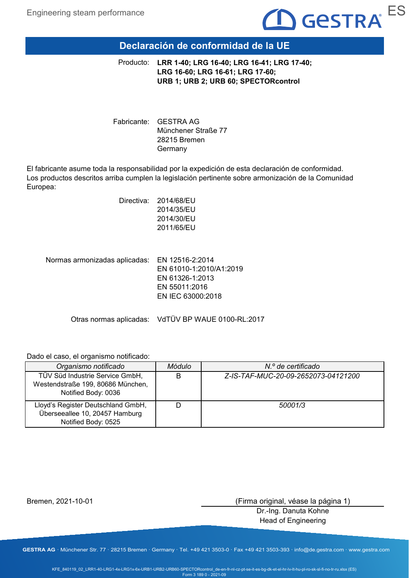

# **Declaración de conformidad de la UE**

**LRR 1-40; LRG 16-40; LRG 16-41; LRG 17-40;**  Producto: **LRG 16-60; LRG 16-61; LRG 17-60; URB 1; URB 2; URB 60; SPECTORcontrol**

Fabricante: GESTRA AG Münchener Straße 77 28215 Bremen Germany

El fabricante asume toda la responsabilidad por la expedición de esta declaración de conformidad. Los productos descritos arriba cumplen la legislación pertinente sobre armonización de la Comunidad Europea:

| Directiva: | 2014/68/EU |
|------------|------------|
|            | 2014/35/EU |
|            | 2014/30/EU |
|            | 2011/65/EU |
|            |            |
|            |            |

Normas armonizadas aplicadas: EN 12516-2:2014 EN 61010-1:2010/A1:2019 EN 61326-1:2013 EN 55011:2016 EN IEC 63000:2018

Otras normas aplicadas: VdTÜV BP WAUE 0100-RL:2017

Dado el caso, el organismo notificado:

| Organismo notificado                                                                        | Módulo | N.º de certificado                  |
|---------------------------------------------------------------------------------------------|--------|-------------------------------------|
| TÜV Süd Industrie Service GmbH,<br>Westendstraße 199, 80686 München,<br>Notified Body: 0036 | В      | Z-IS-TAF-MUC-20-09-2652073-04121200 |
| Lloyd's Register Deutschland GmbH,<br>Überseeallee 10, 20457 Hamburg<br>Notified Body: 0525 |        | 50001/3                             |

Bremen, 2021-10-01

(Firma original, véase la página 1)

Dr.-Ing. Danuta Kohne Head of Engineering

**GESTRA AG** · Münchener Str. 77 · 28215 Bremen · Germany · Tel. +49 421 3503-0 · Fax +49 421 3503-393 · info@de.gestra.com · www.gestra.com

KFE\_840119\_02\_LRR1-40-LRG1-4x-LRG1x-6x-URB1-URB2-URB60-SPECTORcontrol\_de-en-fr-nl-cz-pt-se-it-es-bg-dk-et-el-hr-lv-lt-hu-pl-ro-sk-sl-fi-no-tr-ru.xlsx (ES) Form 3 189 0 - 2021-09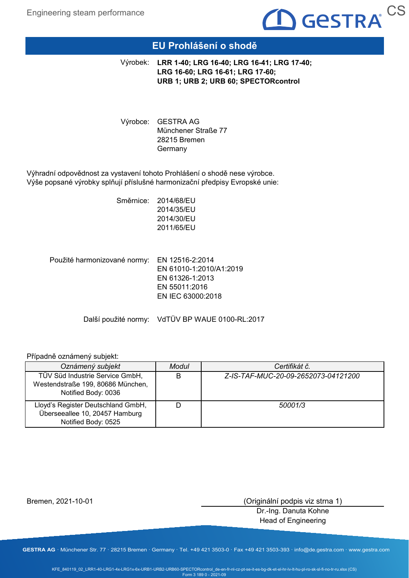

# **EU Prohlášení o shodě**

**LRR 1-40; LRG 16-40; LRG 16-41; LRG 17-40;**  Výrobek: **LRG 16-60; LRG 16-61; LRG 17-60; URB 1; URB 2; URB 60; SPECTORcontrol**

Výrobce: GESTRA AG Münchener Straße 77 28215 Bremen Germany

Výhradní odpovědnost za vystavení tohoto Prohlášení o shodě nese výrobce. Výše popsané výrobky splňují příslušné harmonizační předpisy Evropské unie:

> Směrnice: 2014/68/EU 2014/35/EU 2014/30/EU 2011/65/EU

Použité harmonizované normy: EN 12516-2:2014 EN 61010-1:2010/A1:2019 EN 61326-1:2013 EN 55011:2016 EN IEC 63000:2018

Další použité normy: VdTÜV BP WAUE 0100-RL:2017

## Případně oznámený subjekt:

| Oznámený subjekt                                                                            | Modul | Certifikát č.                       |
|---------------------------------------------------------------------------------------------|-------|-------------------------------------|
| TÜV Süd Industrie Service GmbH,<br>Westendstraße 199, 80686 München,<br>Notified Body: 0036 | В     | Z-IS-TAF-MUC-20-09-2652073-04121200 |
| Lloyd's Register Deutschland GmbH,<br>Überseeallee 10, 20457 Hamburg<br>Notified Body: 0525 |       | 50001/3                             |

Bremen, 2021-10-01

(Originální podpis viz strna 1)

Dr.-Ing. Danuta Kohne Head of Engineering

**GESTRA AG** · Münchener Str. 77 · 28215 Bremen · Germany · Tel. +49 421 3503-0 · Fax +49 421 3503-393 · info@de.gestra.com · www.gestra.com

KFE\_840119\_02\_LRR1-40-LRG1-4x-LRG1x-6x-URB1-URB2-URB60-SPECTORcontrol\_de-en-fr-nl-cz-pt-se-it-es-bg-dk-et-el-hr-lv-lt-hu-pl-ro-sk-sl-fi-no-tr-ru.xlsx (CS) Form 3 189 0 - 2021-09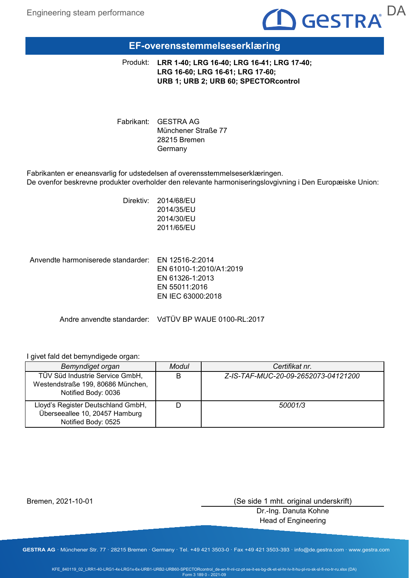

# **EF-overensstemmelseserklæring**

**LRR 1-40; LRG 16-40; LRG 16-41; LRG 17-40;**  Produkt: **LRG 16-60; LRG 16-61; LRG 17-60; URB 1; URB 2; URB 60; SPECTORcontrol**

Fabrikant: GESTRA AG Münchener Straße 77 28215 Bremen Germany

Fabrikanten er eneansvarlig for udstedelsen af overensstemmelseserklæringen. De ovenfor beskrevne produkter overholder den relevante harmoniseringslovgivning i Den Europæiske Union:

> Direktiv: 2014/68/EU 2014/35/EU 2014/30/EU 2011/65/EU

Anvendte harmoniserede standarder: EN 12516-2:2014 EN 61010-1:2010/A1:2019 EN 61326-1:2013 EN 55011:2016 EN IEC 63000:2018

Andre anvendte standarder: VdTÜV BP WAUE 0100-RL:2017

## I givet fald det bemyndigede organ:

| Bemyndiget organ                                                                            | Modul | Certifikat nr.                      |
|---------------------------------------------------------------------------------------------|-------|-------------------------------------|
| TÜV Süd Industrie Service GmbH,<br>Westendstraße 199, 80686 München,<br>Notified Body: 0036 |       | Z-IS-TAF-MUC-20-09-2652073-04121200 |
| Lloyd's Register Deutschland GmbH,<br>Überseeallee 10, 20457 Hamburg<br>Notified Body: 0525 |       | 50001/3                             |

Bremen, 2021-10-01

(Se side 1 mht. original underskrift)

Dr.-Ing. Danuta Kohne Head of Engineering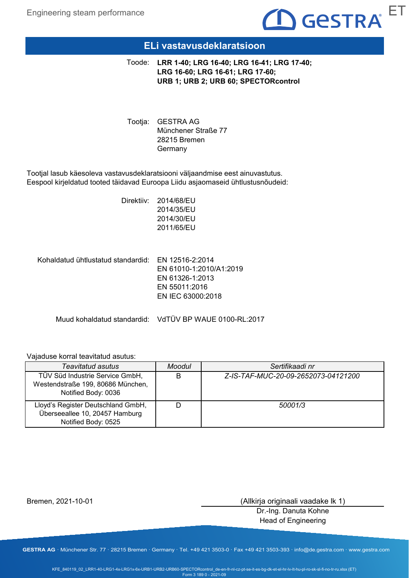

## **ELi vastavusdeklaratsioon**

**LRR 1-40; LRG 16-40; LRG 16-41; LRG 17-40;**  Toode: **LRG 16-60; LRG 16-61; LRG 17-60; URB 1; URB 2; URB 60; SPECTORcontrol**

Tootja: GESTRA AG Münchener Straße 77 28215 Bremen Germany

Tootjal lasub käesoleva vastavusdeklaratsiooni väljaandmise eest ainuvastutus. Eespool kirjeldatud tooted täidavad Euroopa Liidu asjaomaseid ühtlustusnõudeid:

> Direktiiv: 2014/68/EU 2014/35/EU 2014/30/EU 2011/65/EU

Kohaldatud ühtlustatud standardid: EN 12516-2:2014 EN 61010-1:2010/A1:2019 EN 61326-1:2013 EN 55011:2016 EN IEC 63000:2018

Muud kohaldatud standardid: VdTÜV BP WAUE 0100-RL:2017

## Vajaduse korral teavitatud asutus:

| <b>Teavitatud asutus</b>                                                                    | <b>Moodul</b> | Sertifikaadi nr                     |
|---------------------------------------------------------------------------------------------|---------------|-------------------------------------|
| TÜV Süd Industrie Service GmbH,<br>Westendstraße 199, 80686 München,<br>Notified Body: 0036 | B             | Z-IS-TAF-MUC-20-09-2652073-04121200 |
| Lloyd's Register Deutschland GmbH,<br>Überseeallee 10, 20457 Hamburg<br>Notified Body: 0525 |               | 50001/3                             |

Bremen, 2021-10-01

(Allkirja originaali vaadake lk 1)

Dr.-Ing. Danuta Kohne Head of Engineering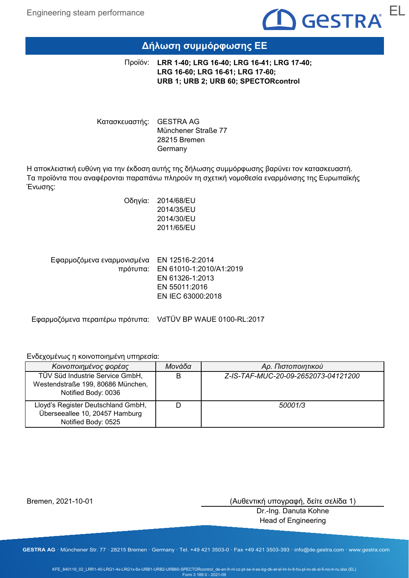

# **Δήλωση συμμόρφωσης ΕΕ**

**LRR 1-40; LRG 16-40; LRG 16-41; LRG 17-40;**  Προϊόν: **LRG 16-60; LRG 16-61; LRG 17-60; URB 1; URB 2; URB 60; SPECTORcontrol**

Κατασκευαστής: GESTRA AG Münchener Straße 77 28215 Bremen Germany

Η αποκλειστική ευθύνη για την έκδοση αυτής της δήλωσης συμμόρφωσης βαρύνει τον κατασκευαστή. Τα προϊόντα που αναφέρονται παραπάνω πληρούν τη σχετική νομοθεσία εναρμόνισης της Ευρωπαϊκής Ένωσης:

> Οδηγία: 2014/68/EU 2014/35/EU 2014/30/EU 2011/65/EU

Εφαρμοζόμενα εναρμονισμένα EN 12516-2:2014 πρότυπα: EN 61010-1:2010/A1:2019 EN 61326-1:2013 EN 55011:2016 EN IEC 63000:2018

Εφαρμοζόμενα περαιτέρω πρότυπα: VdTÜV BP WAUE 0100-RL:2017

Ενδεχομένως η κοινοποιημένη υπηρεσία:

| Κοινοποιημένος φορέας                                                                       | Μονάδα | Αρ. Πιστοποιητικού                  |
|---------------------------------------------------------------------------------------------|--------|-------------------------------------|
| TÜV Süd Industrie Service GmbH,<br>Westendstraße 199, 80686 München,<br>Notified Body: 0036 | В      | Z-IS-TAF-MUC-20-09-2652073-04121200 |
| Lloyd's Register Deutschland GmbH,<br>Überseeallee 10, 20457 Hamburg<br>Notified Body: 0525 |        | 50001/3                             |

Bremen, 2021-10-01

(Αυθεντική υπογραφή, δείτε σελίδα 1)

Dr.-Ing. Danuta Kohne Head of Engineering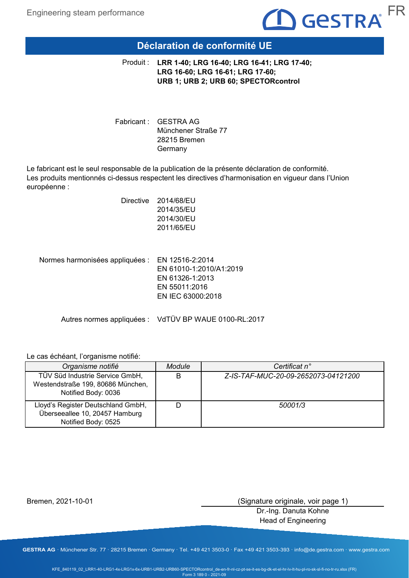

# **Déclaration de conformité UE**

**LRR 1-40; LRG 16-40; LRG 16-41; LRG 17-40;**  Produit : **LRG 16-60; LRG 16-61; LRG 17-60; URB 1; URB 2; URB 60; SPECTORcontrol**

Fabricant : GESTRA AG Münchener Straße 77 28215 Bremen Germany

Le fabricant est le seul responsable de la publication de la présente déclaration de conformité. Les produits mentionnés ci-dessus respectent les directives d'harmonisation en vigueur dans l'Union européenne :

| Directive | 2014/68/EU |
|-----------|------------|
|           | 2014/35/EU |
|           | 2014/30/EU |
|           | 2011/65/EU |
|           |            |
|           |            |

Normes harmonisées appliquées : EN 12516-2:2014 EN 61010-1:2010/A1:2019 EN 61326-1:2013 EN 55011:2016 EN IEC 63000:2018

Autres normes appliquées : VdTÜV BP WAUE 0100-RL:2017

## Le cas échéant, l'organisme notifié:

| Organisme notifié                                                                           | Module | Certificat n°                       |
|---------------------------------------------------------------------------------------------|--------|-------------------------------------|
| TÜV Süd Industrie Service GmbH,<br>Westendstraße 199, 80686 München,<br>Notified Body: 0036 | B      | Z-IS-TAF-MUC-20-09-2652073-04121200 |
| Lloyd's Register Deutschland GmbH,<br>Überseeallee 10, 20457 Hamburg<br>Notified Body: 0525 |        | 50001/3                             |

Bremen, 2021-10-01

(Signature originale, voir page 1)

Dr.-Ing. Danuta Kohne Head of Engineering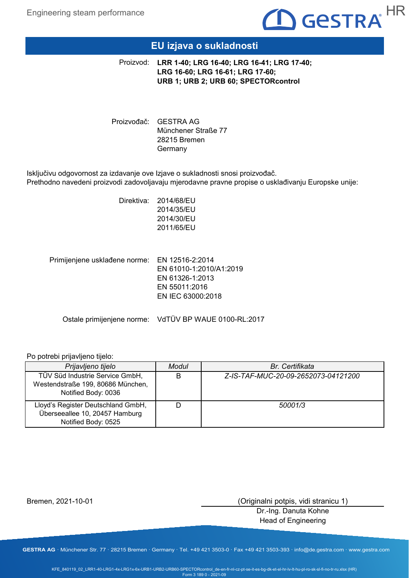

# **EU izjava o sukladnosti**

**LRR 1-40; LRG 16-40; LRG 16-41; LRG 17-40;**  Proizvod: **LRG 16-60; LRG 16-61; LRG 17-60; URB 1; URB 2; URB 60; SPECTORcontrol**

Proizvođač: GESTRA AG Münchener Straße 77 28215 Bremen Germany

Isključivu odgovornost za izdavanje ove Izjave o sukladnosti snosi proizvođač. Prethodno navedeni proizvodi zadovoljavaju mjerodavne pravne propise o usklađivanju Europske unije:

Primijenjene usklađene norme: EN 12516-2:2014 Direktiva: 2014/68/EU 2014/35/EU 2014/30/EU 2011/65/EU EN 61010-1:2010/A1:2019 EN 61326-1:2013

EN IEC 63000:2018

EN 55011:2016

Ostale primijenjene norme: VdTÜV BP WAUE 0100-RL:2017

## Po potrebi prijavljeno tijelo:

| Prijavljeno tijelo                                                                          | Modul | Br. Certifikata                     |
|---------------------------------------------------------------------------------------------|-------|-------------------------------------|
| TÜV Süd Industrie Service GmbH,<br>Westendstraße 199, 80686 München,<br>Notified Body: 0036 | B     | Z-IS-TAF-MUC-20-09-2652073-04121200 |
| Lloyd's Register Deutschland GmbH,<br>Überseeallee 10, 20457 Hamburg<br>Notified Body: 0525 |       | 50001/3                             |

Bremen, 2021-10-01

(Originalni potpis, vidi stranicu 1)

Dr.-Ing. Danuta Kohne Head of Engineering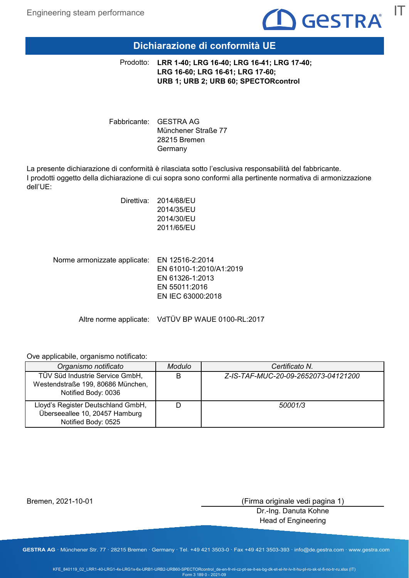

# **Dichiarazione di conformità UE**

**LRR 1-40; LRG 16-40; LRG 16-41; LRG 17-40;**  Prodotto: **LRG 16-60; LRG 16-61; LRG 17-60; URB 1; URB 2; URB 60; SPECTORcontrol**

Fabbricante: GESTRA AG Münchener Straße 77 28215 Bremen Germany

La presente dichiarazione di conformità è rilasciata sotto l'esclusiva responsabilità del fabbricante. I prodotti oggetto della dichiarazione di cui sopra sono conformi alla pertinente normativa di armonizzazione dell'UE:

| Direttiva: | 2014/68/EU |
|------------|------------|
|            | 2014/35/EU |
|            | 2014/30/EU |
|            | 2011/65/EU |
|            |            |

Norme armonizzate applicate: EN 12516-2:2014 EN 61010-1:2010/A1:2019 EN 61326-1:2013 EN 55011:2016 EN IEC 63000:2018

Altre norme applicate: VdTÜV BP WAUE 0100-RL:2017

Ove applicabile, organismo notificato:

| Organismo notificato                                                                        | <b>Modulo</b> | Certificato N.                      |
|---------------------------------------------------------------------------------------------|---------------|-------------------------------------|
| TÜV Süd Industrie Service GmbH,<br>Westendstraße 199, 80686 München,<br>Notified Body: 0036 | B             | Z-IS-TAF-MUC-20-09-2652073-04121200 |
| Lloyd's Register Deutschland GmbH,<br>Überseeallee 10, 20457 Hamburg<br>Notified Body: 0525 |               | 50001/3                             |

Bremen, 2021-10-01

(Firma originale vedi pagina 1)

Dr.-Ing. Danuta Kohne Head of Engineering

**GESTRA AG** · Münchener Str. 77 · 28215 Bremen · Germany · Tel. +49 421 3503-0 · Fax +49 421 3503-393 · info@de.gestra.com · www.gestra.com

KFE\_840119\_02\_LRR1-40-LRG1-4x-LRG1x-6x-URB1-URB2-URB60-SPECTORcontrol\_de-en-fr-nl-cz-pt-se-it-es-bg-dk-et-el-hr-lv-lt-hu-pl-ro-sk-sl-fi-no-tr-ru.xlsx (IT) Form 3 189 0 - 2021-09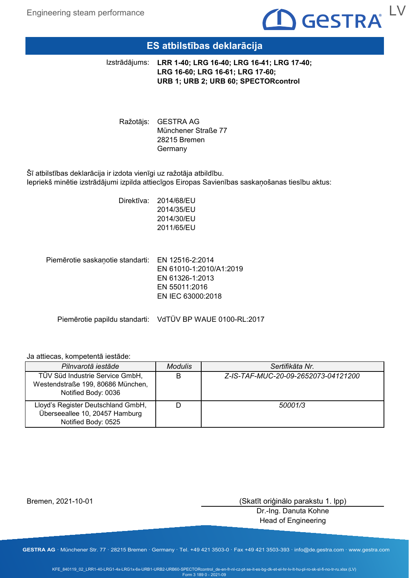

# **ES atbilstības deklarācija**

**LRR 1-40; LRG 16-40; LRG 16-41; LRG 17-40;**  Izstrādājums: **LRG 16-60; LRG 16-61; LRG 17-60; URB 1; URB 2; URB 60; SPECTORcontrol**

Ražotājs: GESTRA AG Münchener Straße 77 28215 Bremen Germany

Šī atbilstības deklarācija ir izdota vienīgi uz ražotāja atbildību. Iepriekš minētie izstrādājumi izpilda attiecīgos Eiropas Savienības saskaņošanas tiesību aktus:

> Direktīva: 2014/68/EU 2014/35/EU 2014/30/EU 2011/65/EU

Piemērotie saskaņotie standarti: EN 12516-2:2014 EN 61010-1:2010/A1:2019 EN 61326-1:2013 EN 55011:2016 EN IEC 63000:2018

Piemērotie papildu standarti: VdTÜV BP WAUE 0100-RL:2017

## Ja attiecas, kompetentā iestāde:

| Pilnvarotā iestāde                                                                          | <b>Modulis</b> | Sertifikāta Nr.                     |
|---------------------------------------------------------------------------------------------|----------------|-------------------------------------|
| TÜV Süd Industrie Service GmbH,<br>Westendstraße 199, 80686 München,<br>Notified Body: 0036 | B              | Z-IS-TAF-MUC-20-09-2652073-04121200 |
| Lloyd's Register Deutschland GmbH,<br>Überseeallee 10, 20457 Hamburg<br>Notified Body: 0525 |                | 50001/3                             |

Bremen, 2021-10-01

(Skatīt oriģinālo parakstu 1. lpp)

Dr.-Ing. Danuta Kohne Head of Engineering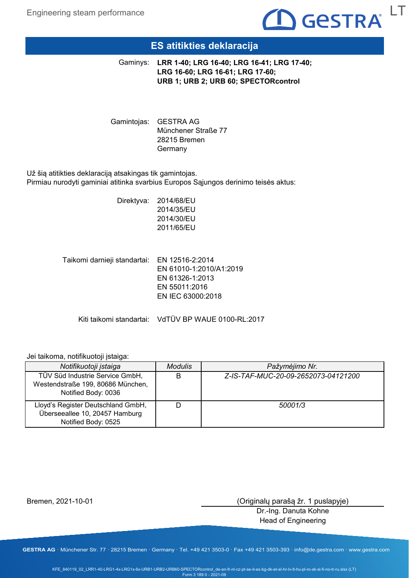

# **ES atitikties deklaracija**

**LRR 1-40; LRG 16-40; LRG 16-41; LRG 17-40;**  Gaminys: **LRG 16-60; LRG 16-61; LRG 17-60; URB 1; URB 2; URB 60; SPECTORcontrol**

Gamintojas: GESTRA AG Münchener Straße 77 28215 Bremen **Germany** 

Už šią atitikties deklaraciją atsakingas tik gamintojas. Pirmiau nurodyti gaminiai atitinka svarbius Europos Sąjungos derinimo teisės aktus:

> Direktyva: 2014/68/EU 2014/35/EU 2014/30/EU 2011/65/EU

Taikomi darnieji standartai: EN 12516-2:2014 EN 61010-1:2010/A1:2019 EN 61326-1:2013 EN 55011:2016 EN IEC 63000:2018

Kiti taikomi standartai: VdTÜV BP WAUE 0100-RL:2017

## Jei taikoma, notifikuotoji įstaiga:

| Notifikuotoji įstaiga                                                                       | <b>Modulis</b> | Pažymėjimo Nr.                      |
|---------------------------------------------------------------------------------------------|----------------|-------------------------------------|
| TÜV Süd Industrie Service GmbH,<br>Westendstraße 199, 80686 München,<br>Notified Body: 0036 |                | Z-IS-TAF-MUC-20-09-2652073-04121200 |
| Lloyd's Register Deutschland GmbH,<br>Überseeallee 10, 20457 Hamburg<br>Notified Body: 0525 |                | 50001/3                             |

Bremen, 2021-10-01

(Originalų parašą žr. 1 puslapyje)

Dr.-Ing. Danuta Kohne Head of Engineering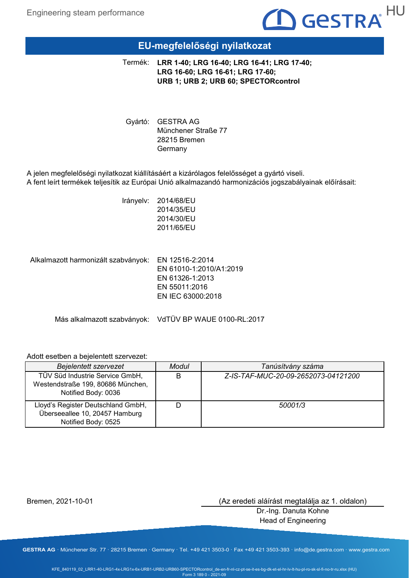# $\mathbf D$  Gestra $^{\mathsf{HU}}$

# **EU-megfelelőségi nyilatkozat**

**LRR 1-40; LRG 16-40; LRG 16-41; LRG 17-40;**  Termék: **LRG 16-60; LRG 16-61; LRG 17-60; URB 1; URB 2; URB 60; SPECTORcontrol**

Gyártó: GESTRA AG Münchener Straße 77 28215 Bremen Germany

A jelen megfelelőségi nyilatkozat kiállításáért a kizárólagos felelősséget a gyártó viseli. A fent leírt termékek teljesítik az Európai Unió alkalmazandó harmonizációs jogszabályainak előírásait:

> Irányelv: 2014/68/EU 2014/35/EU 2014/30/EU 2011/65/EU

Alkalmazott harmonizált szabványok: EN 12516-2:2014 EN 61010-1:2010/A1:2019 EN 61326-1:2013 EN 55011:2016 EN IEC 63000:2018

Más alkalmazott szabványok: VdTÜV BP WAUE 0100-RL:2017

## Adott esetben a bejelentett szervezet:

| <b>Bejelentett szervezet</b>                                                                | Modul | Tanúsítvány száma                   |
|---------------------------------------------------------------------------------------------|-------|-------------------------------------|
| TÜV Süd Industrie Service GmbH,<br>Westendstraße 199, 80686 München,<br>Notified Body: 0036 | B     | Z-IS-TAF-MUC-20-09-2652073-04121200 |
| Lloyd's Register Deutschland GmbH,<br>Überseeallee 10, 20457 Hamburg<br>Notified Body: 0525 |       | 50001/3                             |

Bremen, 2021-10-01

(Az eredeti aláírást megtalálja az 1. oldalon)

Dr.-Ing. Danuta Kohne Head of Engineering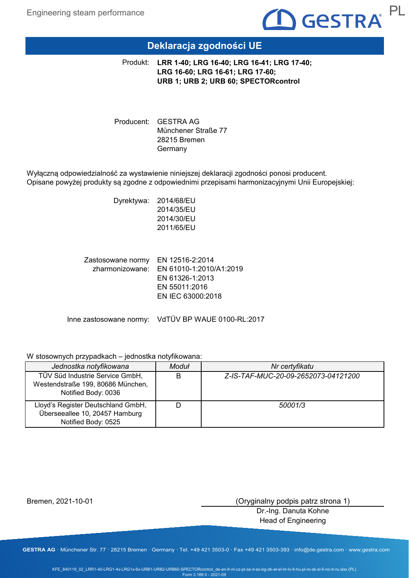

# **Deklaracja zgodności UE**

**LRR 1-40; LRG 16-40; LRG 16-41; LRG 17-40;**  Produkt: **LRG 16-60; LRG 16-61; LRG 17-60; URB 1; URB 2; URB 60; SPECTORcontrol**

Producent: GESTRA AG Münchener Straße 77 28215 Bremen Germany

Wyłączną odpowiedzialność za wystawienie niniejszej deklaracji zgodności ponosi producent. Opisane powyżej produkty są zgodne z odpowiednimi przepisami harmonizacyjnymi Unii Europejskiej:

> Dyrektywa: 2014/68/EU 2014/35/EU 2014/30/EU 2011/65/EU

Zastosowane normy EN 12516-2:2014 zharmonizowane: EN 61010-1:2010/A1:2019 EN 61326-1:2013 EN 55011:2016 EN IEC 63000:2018

Inne zastosowane normy: VdTÜV BP WAUE 0100-RL:2017

## W stosownych przypadkach – jednostka notyfikowana:

| Jednostka notyfikowana                                                                      | Moduł | Nr certyfikatu                      |
|---------------------------------------------------------------------------------------------|-------|-------------------------------------|
| TÜV Süd Industrie Service GmbH,<br>Westendstraße 199, 80686 München,<br>Notified Body: 0036 | B     | Z-IS-TAF-MUC-20-09-2652073-04121200 |
| Lloyd's Register Deutschland GmbH,<br>Überseeallee 10, 20457 Hamburg<br>Notified Body: 0525 |       | 50001/3                             |

Bremen, 2021-10-01

(Oryginalny podpis patrz strona 1)

Dr.-Ing. Danuta Kohne Head of Engineering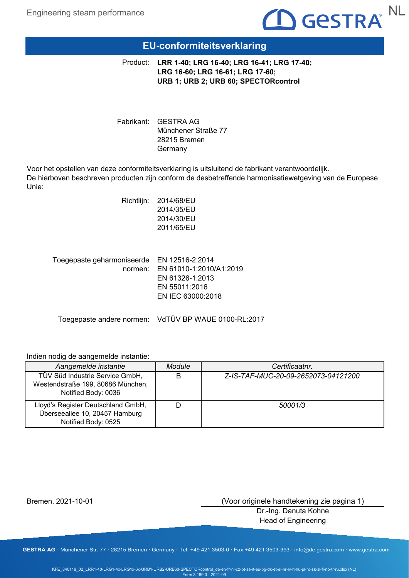

# **EU-conformiteitsverklaring**

**LRR 1-40; LRG 16-40; LRG 16-41; LRG 17-40;**  Product: **LRG 16-60; LRG 16-61; LRG 17-60; URB 1; URB 2; URB 60; SPECTORcontrol**

Fabrikant: GESTRA AG Münchener Straße 77 28215 Bremen Germany

Voor het opstellen van deze conformiteitsverklaring is uitsluitend de fabrikant verantwoordelijk. De hierboven beschreven producten zijn conform de desbetreffende harmonisatiewetgeving van de Europese Unie:

|                                       | 2014/35/EU<br>2014/30/EU<br>2011/65/EU                                                              |
|---------------------------------------|-----------------------------------------------------------------------------------------------------|
| Toegepaste geharmoniseerde<br>normen: | EN 12516-2:2014<br>EN 61010-1:2010/A1:2019<br>EN 61326-1:2013<br>EN 55011:2016<br>EN IEC 63000:2018 |

Richtlijn: 2014/68/EU

Toegepaste andere normen: VdTÜV BP WAUE 0100-RL:2017

## Indien nodig de aangemelde instantie:

| Aangemelde instantie                                                                        | <b>Module</b> | Certificaatnr.                      |
|---------------------------------------------------------------------------------------------|---------------|-------------------------------------|
| TÜV Süd Industrie Service GmbH,<br>Westendstraße 199, 80686 München,<br>Notified Body: 0036 |               | Z-IS-TAF-MUC-20-09-2652073-04121200 |
| Lloyd's Register Deutschland GmbH,<br>Überseeallee 10, 20457 Hamburg<br>Notified Body: 0525 |               | 50001/3                             |

Bremen, 2021-10-01

(Voor originele handtekening zie pagina 1)

Dr.-Ing. Danuta Kohne Head of Engineering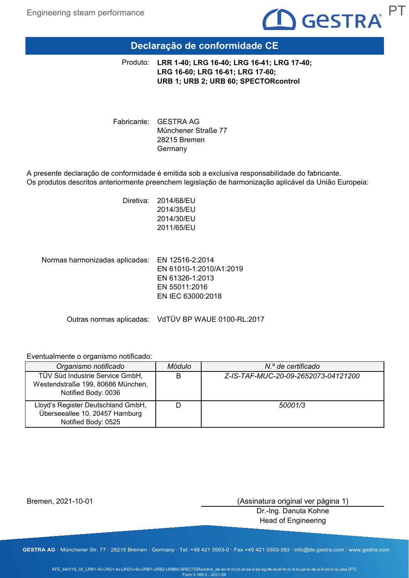

# **Declaração de conformidade CE**

**LRR 1-40; LRG 16-40; LRG 16-41; LRG 17-40;**  Produto: **LRG 16-60; LRG 16-61; LRG 17-60; URB 1; URB 2; URB 60; SPECTORcontrol**

Fabricante: GESTRA AG Münchener Straße 77 28215 Bremen Germany

A presente declaração de conformidade é emitida sob a exclusiva responsabilidade do fabricante. Os produtos descritos anteriormente preenchem legislação de harmonização aplicável da União Europeia:

> Diretiva: 2014/68/EU 2014/35/EU 2014/30/EU 2011/65/EU

Normas harmonizadas aplicadas: EN 12516-2:2014 EN 61010-1:2010/A1:2019 EN 61326-1:2013 EN 55011:2016 EN IEC 63000:2018

Outras normas aplicadas: VdTÜV BP WAUE 0100-RL:2017

## Eventualmente o organismo notificado:

| Organismo notificado                                                                        | Módulo | N.º de certificado                  |
|---------------------------------------------------------------------------------------------|--------|-------------------------------------|
| TÜV Süd Industrie Service GmbH,<br>Westendstraße 199, 80686 München,<br>Notified Body: 0036 | B      | Z-IS-TAF-MUC-20-09-2652073-04121200 |
| Lloyd's Register Deutschland GmbH,<br>Überseeallee 10, 20457 Hamburg<br>Notified Body: 0525 |        | 50001/3                             |

Bremen, 2021-10-01

(Assinatura original ver página 1)

Dr.-Ing. Danuta Kohne Head of Engineering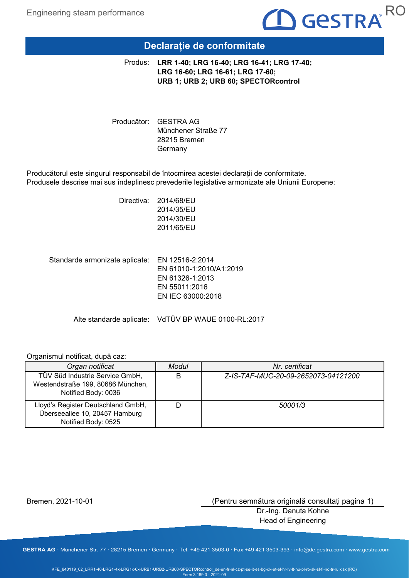

# **Declarație de conformitate**

**LRR 1-40; LRG 16-40; LRG 16-41; LRG 17-40;**  Produs: **LRG 16-60; LRG 16-61; LRG 17-60; URB 1; URB 2; URB 60; SPECTORcontrol**

Producător: GESTRA AG Münchener Straße 77 28215 Bremen Germany

Producătorul este singurul responsabil de întocmirea acestei declarații de conformitate. Produsele descrise mai sus îndeplinesc prevederile legislative armonizate ale Uniunii Europene:

> Directiva: 2014/68/EU 2014/35/EU 2014/30/EU 2011/65/EU

Standarde armonizate aplicate: EN 12516-2:2014 EN 61010-1:2010/A1:2019 EN 61326-1:2013 EN 55011:2016 EN IEC 63000:2018

Alte standarde aplicate: VdTÜV BP WAUE 0100-RL:2017

## Organismul notificat, după caz:

| Organ notificat                                                                             | Modul | Nr. certificat                      |
|---------------------------------------------------------------------------------------------|-------|-------------------------------------|
| TÜV Süd Industrie Service GmbH,<br>Westendstraße 199, 80686 München,<br>Notified Body: 0036 | B     | Z-IS-TAF-MUC-20-09-2652073-04121200 |
| Lloyd's Register Deutschland GmbH,<br>Überseeallee 10, 20457 Hamburg<br>Notified Body: 0525 |       | 50001/3                             |

Bremen, 2021-10-01

(Pentru semnătura originală consultaţi pagina 1)

Dr.-Ing. Danuta Kohne Head of Engineering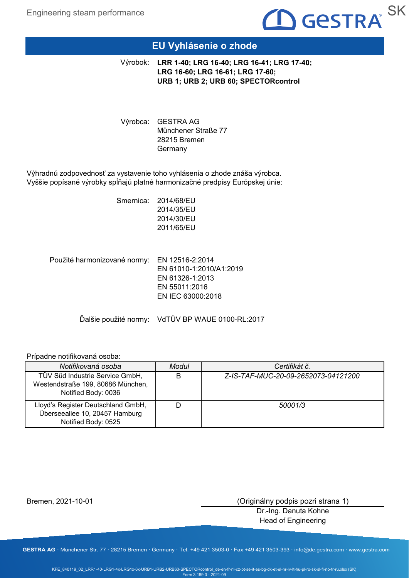

# **EU Vyhlásenie o zhode**

**LRR 1-40; LRG 16-40; LRG 16-41; LRG 17-40;**  Výrobok: **LRG 16-60; LRG 16-61; LRG 17-60; URB 1; URB 2; URB 60; SPECTORcontrol**

Výrobca: GESTRA AG Münchener Straße 77 28215 Bremen Germany

Výhradnú zodpovednosť za vystavenie toho vyhlásenia o zhode znáša výrobca. Vyššie popísané výrobky spĺňajú platné harmonizačné predpisy Európskej únie:

> Smernica: 2014/68/EU 2014/35/EU 2014/30/EU 2011/65/EU

Použité harmonizované normy: EN 12516-2:2014 EN 61010-1:2010/A1:2019 EN 61326-1:2013 EN 55011:2016 EN IEC 63000:2018

Ďalšie použité normy: VdTÜV BP WAUE 0100-RL:2017

## Prípadne notifikovaná osoba:

| Notifikovaná osoba                                                                          | Modul | Certifikát č.                       |
|---------------------------------------------------------------------------------------------|-------|-------------------------------------|
| TÜV Süd Industrie Service GmbH,<br>Westendstraße 199, 80686 München,<br>Notified Body: 0036 | B     | Z-IS-TAF-MUC-20-09-2652073-04121200 |
| Lloyd's Register Deutschland GmbH,<br>Überseeallee 10, 20457 Hamburg<br>Notified Body: 0525 |       | 50001/3                             |

Bremen, 2021-10-01

(Originálny podpis pozri strana 1)

Dr.-Ing. Danuta Kohne Head of Engineering

**GESTRA AG** · Münchener Str. 77 · 28215 Bremen · Germany · Tel. +49 421 3503-0 · Fax +49 421 3503-393 · info@de.gestra.com · www.gestra.com

KFE\_840119\_02\_LRR1-40-LRG1-4x-LRG1x-6x-URB1-URB2-URB60-SPECTORcontrol\_de-en-fr-nl-cz-pt-se-it-es-bg-dk-et-el-hr-lv-lt-hu-pl-ro-sk-sl-fi-no-tr-ru.xlsx (SK) Form 3 189 0 - 2021-09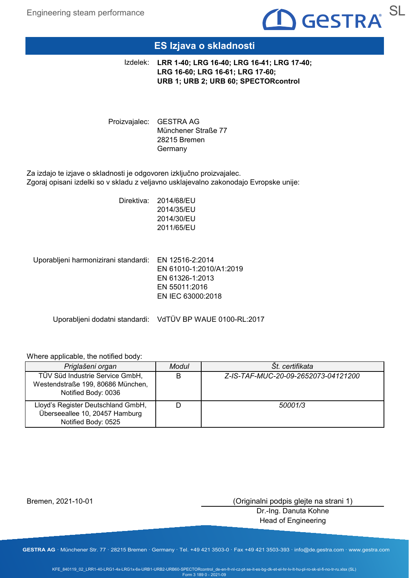

# **ES Izjava o skladnosti**

**LRR 1-40; LRG 16-40; LRG 16-41; LRG 17-40;**  Izdelek: **LRG 16-60; LRG 16-61; LRG 17-60; URB 1; URB 2; URB 60; SPECTORcontrol**

Proizvajalec: GESTRA AG Münchener Straße 77 28215 Bremen Germany

Za izdajo te izjave o skladnosti je odgovoren izključno proizvajalec. Zgoraj opisani izdelki so v skladu z veljavno usklajevalno zakonodajo Evropske unije:

> Direktiva: 2014/68/EU 2014/35/EU 2014/30/EU 2011/65/EU

Uporabljeni harmonizirani standardi: EN 12516-2:2014

EN 61010-1:2010/A1:2019 EN 61326-1:2013 EN 55011:2016 EN IEC 63000:2018

Uporabljeni dodatni standardi: VdTÜV BP WAUE 0100-RL:2017

## Where applicable, the notified body:

| Priglašeni organ                                                                            | Modul | Št. certifikata                     |
|---------------------------------------------------------------------------------------------|-------|-------------------------------------|
| TÜV Süd Industrie Service GmbH,<br>Westendstraße 199, 80686 München,<br>Notified Body: 0036 |       | Z-IS-TAF-MUC-20-09-2652073-04121200 |
| Lloyd's Register Deutschland GmbH,<br>Überseeallee 10, 20457 Hamburg<br>Notified Body: 0525 |       | 50001/3                             |

Bremen, 2021-10-01

(Originalni podpis glejte na strani 1)

Dr.-Ing. Danuta Kohne Head of Engineering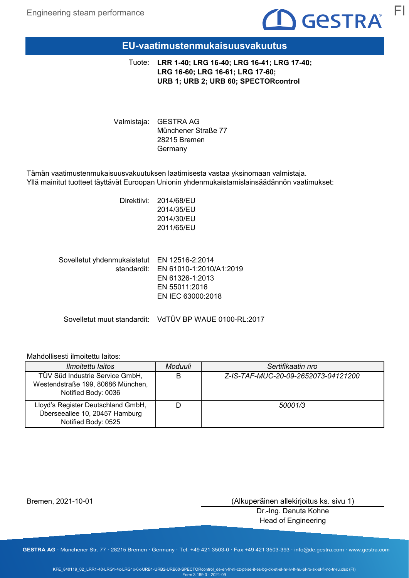

## **EU-vaatimustenmukaisuusvakuutus**

**LRR 1-40; LRG 16-40; LRG 16-41; LRG 17-40;**  Tuote: **LRG 16-60; LRG 16-61; LRG 17-60; URB 1; URB 2; URB 60; SPECTORcontrol**

Valmistaja: GESTRA AG Münchener Straße 77 28215 Bremen Germany

Tämän vaatimustenmukaisuusvakuutuksen laatimisesta vastaa yksinomaan valmistaja. Yllä mainitut tuotteet täyttävät Euroopan Unionin yhdenmukaistamislainsäädännön vaatimukset:

> Direktiivi: 2014/68/EU 2014/35/EU 2014/30/EU 2011/65/EU

Sovelletut yhdenmukaistetut EN 12516-2:2014 standardit: EN 61010-1:2010/A1:2019 EN 61326-1:2013 EN 55011:2016 EN IEC 63000:2018

Sovelletut muut standardit: VdTÜV BP WAUE 0100-RL:2017

## Mahdollisesti ilmoitettu laitos:

| <i>Ilmoitettu laitos</i>                                                                    | Moduuli | Sertifikaatin nro                   |
|---------------------------------------------------------------------------------------------|---------|-------------------------------------|
| TÜV Süd Industrie Service GmbH,<br>Westendstraße 199, 80686 München,<br>Notified Body: 0036 | B       | Z-IS-TAF-MUC-20-09-2652073-04121200 |
| Lloyd's Register Deutschland GmbH,<br>Überseeallee 10, 20457 Hamburg<br>Notified Body: 0525 |         | 50001/3                             |

Bremen, 2021-10-01

(Alkuperäinen allekirjoitus ks. sivu 1)

Dr.-Ing. Danuta Kohne Head of Engineering

**GESTRA AG** · Münchener Str. 77 · 28215 Bremen · Germany · Tel. +49 421 3503-0 · Fax +49 421 3503-393 · info@de.gestra.com · www.gestra.com

KFE\_840119\_02\_LRR1-40-LRG1-4x-LRG1x-6x-URB1-URB2-URB60-SPECTORcontrol\_de-en-fr-nl-cz-pt-se-it-es-bg-dk-et-el-hr-lv-lt-hu-pl-ro-sk-sl-fi-no-tr-ru.xlsx (FI) Form 3 189 0 - 2021-09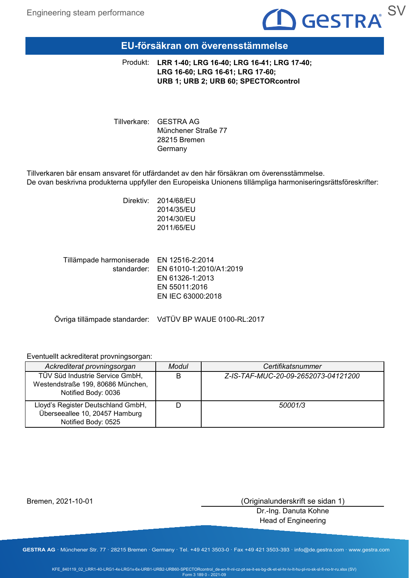

## **EU-försäkran om överensstämmelse**

**LRR 1-40; LRG 16-40; LRG 16-41; LRG 17-40;**  Produkt: **LRG 16-60; LRG 16-61; LRG 17-60; URB 1; URB 2; URB 60; SPECTORcontrol**

Tillverkare: GESTRA AG Münchener Straße 77 28215 Bremen Germany

Tillverkaren bär ensam ansvaret för utfärdandet av den här försäkran om överensstämmelse. De ovan beskrivna produkterna uppfyller den Europeiska Unionens tillämpliga harmoniseringsrättsföreskrifter:

> Direktiv: 2014/68/EU 2014/35/EU 2014/30/EU 2011/65/EU

Tillämpade harmoniserade EN 12516-2:2014 standarder: EN 61010-1:2010/A1:2019 EN 61326-1:2013 EN 55011:2016 EN IEC 63000:2018

Övriga tillämpade standarder: VdTÜV BP WAUE 0100-RL:2017

## Eventuellt ackrediterat provningsorgan:

| Ackrediterat provningsorgan                                                                 | Modul | Certifikatsnummer                   |
|---------------------------------------------------------------------------------------------|-------|-------------------------------------|
| TÜV Süd Industrie Service GmbH,<br>Westendstraße 199, 80686 München,<br>Notified Body: 0036 | B     | Z-IS-TAF-MUC-20-09-2652073-04121200 |
| Lloyd's Register Deutschland GmbH,<br>Überseeallee 10, 20457 Hamburg<br>Notified Body: 0525 |       | 50001/3                             |

Bremen, 2021-10-01

(Originalunderskrift se sidan 1)

Dr.-Ing. Danuta Kohne Head of Engineering

**GESTRA AG** · Münchener Str. 77 · 28215 Bremen · Germany · Tel. +49 421 3503-0 · Fax +49 421 3503-393 · info@de.gestra.com · www.gestra.com

KFE\_840119\_02\_LRR1-40-LRG1-4x-LRG1x-6x-URB1-URB2-URB60-SPECTORcontrol\_de-en-fr-nl-cz-pt-se-it-es-bg-dk-et-el-hr-lv-lt-hu-pl-ro-sk-sl-fi-no-tr-ru.xlsx (SV) Form 3 189 0 - 2021-09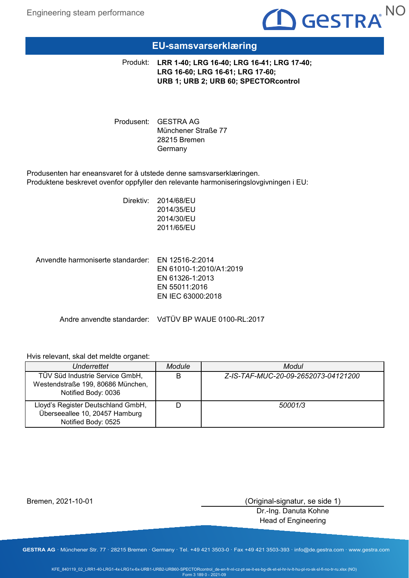

## **EU-samsvarserklæring**

**LRR 1-40; LRG 16-40; LRG 16-41; LRG 17-40;**  Produkt: **LRG 16-60; LRG 16-61; LRG 17-60; URB 1; URB 2; URB 60; SPECTORcontrol**

Produsent: GESTRA AG Münchener Straße 77 28215 Bremen Germany

Produsenten har eneansvaret for å utstede denne samsvarserklæringen. Produktene beskrevet ovenfor oppfyller den relevante harmoniseringslovgivningen i EU:

> Direktiv: 2014/68/EU 2014/35/EU 2014/30/EU 2011/65/EU

Anvendte harmoniserte standarder: EN 12516-2:2014 EN 61010-1:2010/A1:2019 EN 61326-1:2013 EN 55011:2016 EN IEC 63000:2018

Andre anvendte standarder: VdTÜV BP WAUE 0100-RL:2017

## Hvis relevant, skal det meldte organet:

| Underrettet                                                                                 | <b>Module</b> | Modul                               |
|---------------------------------------------------------------------------------------------|---------------|-------------------------------------|
| TÜV Süd Industrie Service GmbH,<br>Westendstraße 199, 80686 München,<br>Notified Body: 0036 | B             | Z-IS-TAF-MUC-20-09-2652073-04121200 |
| Lloyd's Register Deutschland GmbH,<br>Überseeallee 10, 20457 Hamburg<br>Notified Body: 0525 |               | 50001/3                             |

Bremen, 2021-10-01

(Original-signatur, se side 1)

Dr.-Ing. Danuta Kohne Head of Engineering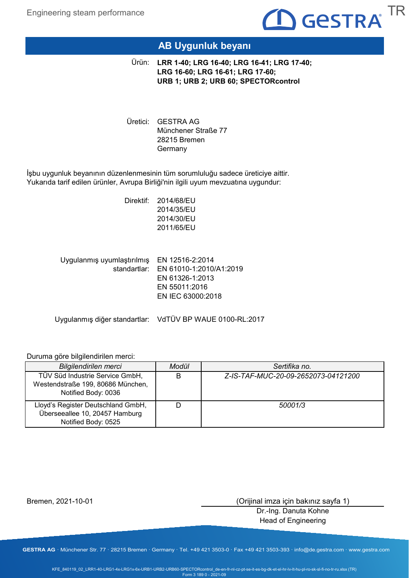

# **AB Uygunluk beyanı**

**LRR 1-40; LRG 16-40; LRG 16-41; LRG 17-40;**  Ürün: **LRG 16-60; LRG 16-61; LRG 17-60; URB 1; URB 2; URB 60; SPECTORcontrol**

Uretici: GESTRA AG Münchener Straße 77 28215 Bremen Germany

İşbu uygunluk beyanının düzenlenmesinin tüm sorumluluğu sadece üreticiye aittir. Yukarıda tarif edilen ürünler, Avrupa Birliği'nin ilgili uyum mevzuatına uygundur:

> Direktif: 2014/68/EU 2014/35/EU 2014/30/EU 2011/65/EU

Uygulanmış uyumlaştırılmış EN 12516-2:2014 standartlar: EN 61010-1:2010/A1:2019 EN 61326-1:2013 EN 55011:2016 EN IEC 63000:2018

Uygulanmış diğer standartlar: VdTÜV BP WAUE 0100-RL:2017

## Duruma göre bilgilendirilen merci:

| Bilgilendirilen merci                                                                       | Modül | Sertifika no.                       |
|---------------------------------------------------------------------------------------------|-------|-------------------------------------|
| TÜV Süd Industrie Service GmbH,<br>Westendstraße 199, 80686 München,<br>Notified Body: 0036 | B     | Z-IS-TAF-MUC-20-09-2652073-04121200 |
| Lloyd's Register Deutschland GmbH,<br>Überseeallee 10, 20457 Hamburg<br>Notified Body: 0525 |       | 50001/3                             |

Bremen, 2021-10-01

(Orijinal imza için bakınız sayfa 1)

Dr.-Ing. Danuta Kohne Head of Engineering